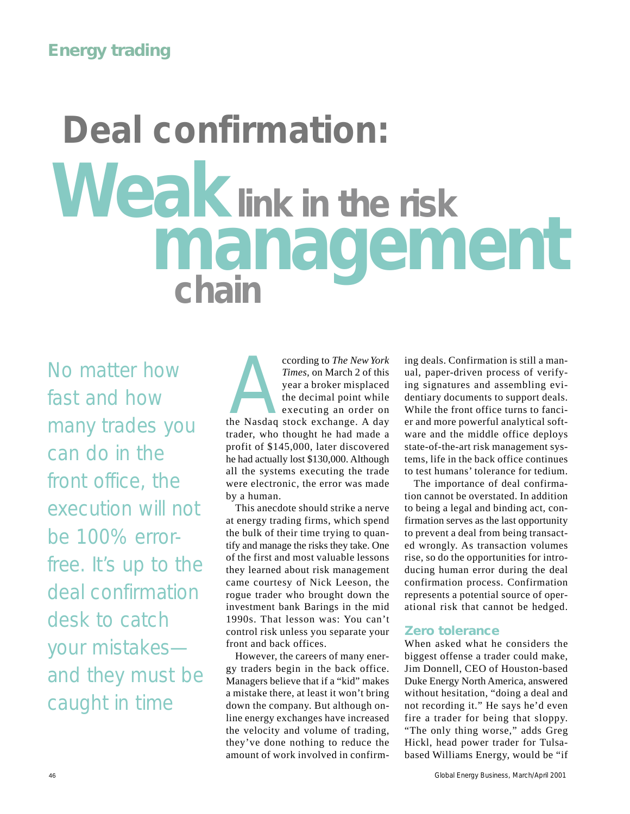# **Deal confirmation:** *Weak***link in the risk** *management* **chain**

No matter how fast and how many trades you can do in the front office, the execution will not be 100% errorfree. It's up to the deal confirmation desk to catch your mistakes and they must be caught in time

**According to** *The New York*<br>
Times, on March 2 of this<br>
year a broker misplaced<br>
the decimal point while<br>
executing an order on<br>
the Nasdaq stock exchange. A day *Times,* on March 2 of this year a broker misplaced the decimal point while executing an order on trader, who thought he had made a profit of \$145,000, later discovered he had actually lost \$130,000. Although all the systems executing the trade were electronic, the error was made by a human.

This anecdote should strike a nerve at energy trading firms, which spend the bulk of their time trying to quantify and manage the risks they take. One of the first and most valuable lessons they learned about risk management came courtesy of Nick Leeson, the rogue trader who brought down the investment bank Barings in the mid 1990s. That lesson was: You can't control risk unless you separate your front and back offices.

However, the careers of many energy traders begin in the back office. Managers believe that if a "kid" makes a mistake there, at least it won't bring down the company. But although online energy exchanges have increased the velocity and volume of trading, they've done nothing to reduce the amount of work involved in confirm-

ing deals. Confirmation is still a manual, paper-driven process of verifying signatures and assembling evidentiary documents to support deals. While the front office turns to fancier and more powerful analytical software and the middle office deploys state-of-the-art risk management systems, life in the back office continues to test humans' tolerance for tedium.

The importance of deal confirmation cannot be overstated. In addition to being a legal and binding act, confirmation serves as the last opportunity to prevent a deal from being transacted wrongly. As transaction volumes rise, so do the opportunities for introducing human error during the deal confirmation process. Confirmation represents a potential source of operational risk that cannot be hedged.

#### **Zero tolerance**

When asked what he considers the biggest offense a trader could make, Jim Donnell, CEO of Houston-based Duke Energy North America, answered without hesitation, "doing a deal and not recording it." He says he'd even fire a trader for being that sloppy. "The only thing worse," adds Greg Hickl, head power trader for Tulsabased Williams Energy, would be "if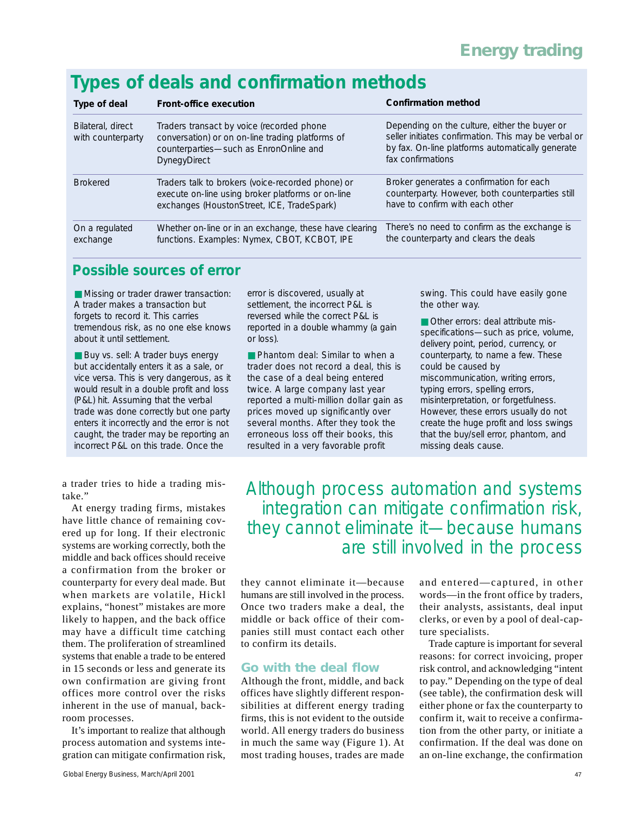# *Types of deals and confirmation methods*

| Type of deal                           | Front-office execution                                                                                                                                         | <b>Confirmation method</b>                                                                                                                                                     |
|----------------------------------------|----------------------------------------------------------------------------------------------------------------------------------------------------------------|--------------------------------------------------------------------------------------------------------------------------------------------------------------------------------|
| Bilateral, direct<br>with counterparty | Traders transact by voice (recorded phone<br>conversation) or on on-line trading platforms of<br>counterparties-such as EnronOnline and<br><b>DynegyDirect</b> | Depending on the culture, either the buyer or<br>seller initiates confirmation. This may be verbal or<br>by fax. On-line platforms automatically generate<br>fax confirmations |
| <b>Brokered</b>                        | Traders talk to brokers (voice-recorded phone) or<br>execute on-line using broker platforms or on-line<br>exchanges (HoustonStreet, ICE, TradeSpark)           | Broker generates a confirmation for each<br>counterparty. However, both counterparties still<br>have to confirm with each other                                                |
| On a regulated<br>exchange             | Whether on-line or in an exchange, these have clearing<br>functions. Examples: Nymex, CBOT, KCBOT, IPE                                                         | There's no need to confirm as the exchange is<br>the counterparty and clears the deals                                                                                         |

## *Possible sources of error*

■ Missing or trader drawer transaction: A trader makes a transaction but forgets to record it. This carries tremendous risk, as no one else knows about it until settlement.

■ Buy vs. sell: A trader buys energy but accidentally enters it as a sale, or vice versa. This is very dangerous, as it would result in a double profit and loss (P&L) hit. Assuming that the verbal trade was done correctly but one party enters it incorrectly and the error is not caught, the trader may be reporting an incorrect P&L on this trade. Once the

a trader tries to hide a trading mistake."

At energy trading firms, mistakes have little chance of remaining covered up for long. If their electronic systems are working correctly, both the middle and back offices should receive a confirmation from the broker or counterparty for every deal made. But when markets are volatile, Hickl explains, "honest" mistakes are more likely to happen, and the back office may have a difficult time catching them. The proliferation of streamlined systems that enable a trade to be entered in 15 seconds or less and generate its own confirmation are giving front offices more control over the risks inherent in the use of manual, backroom processes.

It's important to realize that although process automation and systems integration can mitigate confirmation risk,

error is discovered, usually at settlement, the incorrect P&L is reversed while the correct P&L is reported in a double whammy (a gain or loss).

■ Phantom deal: Similar to when a trader does not record a deal, this is the case of a deal being entered twice. A large company last year reported a multi-million dollar gain as prices moved up significantly over several months. After they took the erroneous loss off their books, this resulted in a very favorable profit

swing. This could have easily gone the other way.

■ Other errors: deal attribute misspecifications—such as price, volume, delivery point, period, currency, or counterparty, to name a few. These could be caused by miscommunication, writing errors, typing errors, spelling errors, misinterpretation, or forgetfulness. However, these errors usually do not create the huge profit and loss swings that the buy/sell error, phantom, and missing deals cause.

*Although process automation and systems integration can mitigate confirmation risk, they cannot eliminate it—because humans are still involved in the process* 

they cannot eliminate it—because humans are still involved in the process. Once two traders make a deal, the middle or back office of their companies still must contact each other to confirm its details.

#### **Go with the deal flow**

Although the front, middle, and back offices have slightly different responsibilities at different energy trading firms, this is not evident to the outside world. All energy traders do business in much the same way (Figure 1). At most trading houses, trades are made

and entered—captured, in other words—in the front office by traders, their analysts, assistants, deal input clerks, or even by a pool of deal-capture specialists.

Trade capture is important for several reasons: for correct invoicing, proper risk control, and acknowledging "intent to pay." Depending on the type of deal (see table), the confirmation desk will either phone or fax the counterparty to confirm it, wait to receive a confirmation from the other party, or initiate a confirmation. If the deal was done on an on-line exchange, the confirmation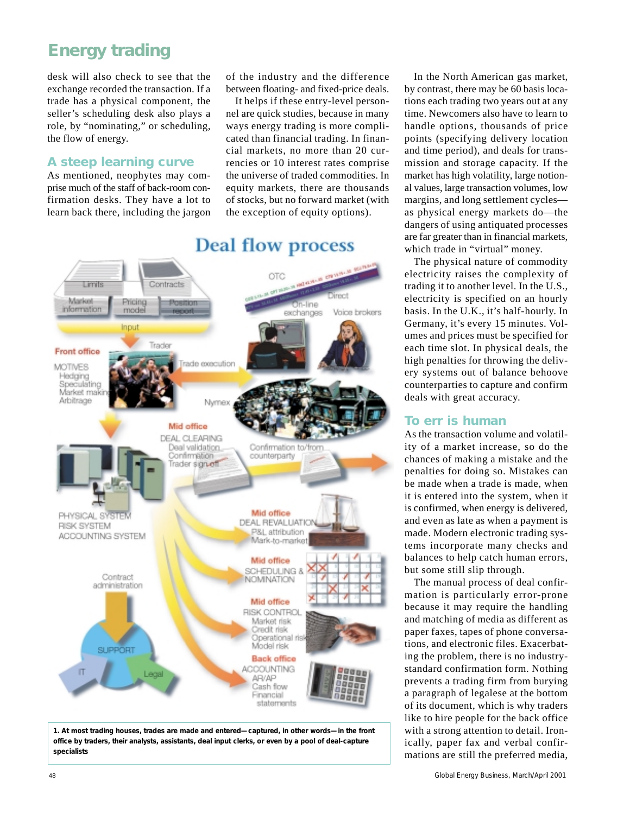desk will also check to see that the exchange recorded the transaction. If a trade has a physical component, the seller's scheduling desk also plays a role, by "nominating," or scheduling, the flow of energy.

#### **A steep learning curve**

As mentioned, neophytes may comprise much of the staff of back-room confirmation desks. They have a lot to learn back there, including the jargon

of the industry and the difference between floating- and fixed-price deals.

It helps if these entry-level personnel are quick studies, because in many ways energy trading is more complicated than financial trading. In financial markets, no more than 20 currencies or 10 interest rates comprise the universe of traded commodities. In equity markets, there are thousands of stocks, but no forward market (with the exception of equity options).



## **Deal flow process**

*1. At most trading houses, trades are made and entered—captured, in other words—in the front office by traders, their analysts, assistants, deal input clerks, or even by a pool of deal-capture specialists*

In the North American gas market, by contrast, there may be 60 basis locations each trading two years out at any time. Newcomers also have to learn to handle options, thousands of price points (specifying delivery location and time period), and deals for transmission and storage capacity. If the market has high volatility, large notional values, large transaction volumes, low margins, and long settlement cycles as physical energy markets do—the dangers of using antiquated processes are far greater than in financial markets, which trade in "virtual" money.

The physical nature of commodity electricity raises the complexity of trading it to another level. In the U.S., electricity is specified on an hourly basis. In the U.K., it's half-hourly. In Germany, it's every 15 minutes. Volumes and prices must be specified for each time slot. In physical deals, the high penalties for throwing the delivery systems out of balance behoove counterparties to capture and confirm deals with great accuracy.

#### **To err is human**

As the transaction volume and volatility of a market increase, so do the chances of making a mistake and the penalties for doing so. Mistakes can be made when a trade is made, when it is entered into the system, when it is confirmed, when energy is delivered, and even as late as when a payment is made. Modern electronic trading systems incorporate many checks and balances to help catch human errors, but some still slip through.

The manual process of deal confirmation is particularly error-prone because it may require the handling and matching of media as different as paper faxes, tapes of phone conversations, and electronic files. Exacerbating the problem, there is no industrystandard confirmation form. Nothing prevents a trading firm from burying a paragraph of legalese at the bottom of its document, which is why traders like to hire people for the back office with a strong attention to detail. Ironically, paper fax and verbal confirmations are still the preferred media,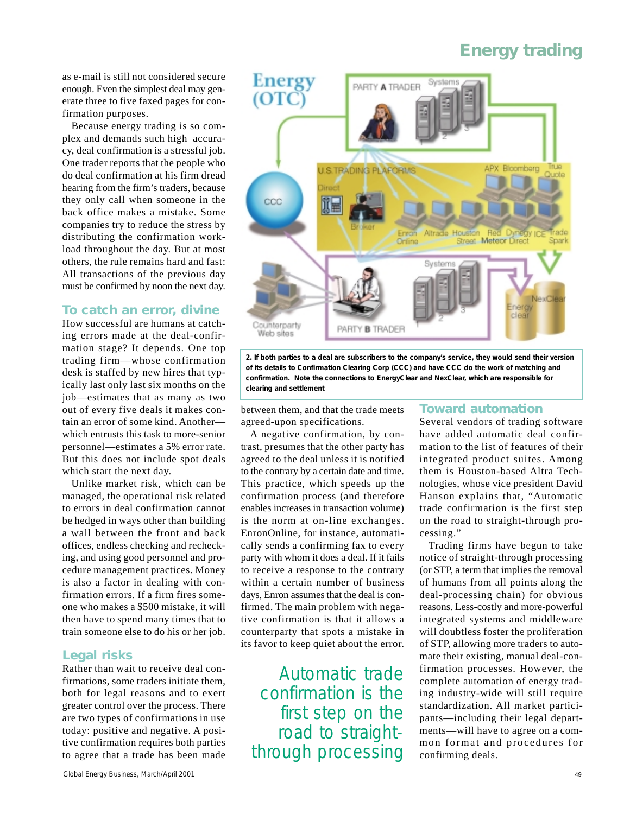as e-mail is still not considered secure enough. Even the simplest deal may generate three to five faxed pages for confirmation purposes.

Because energy trading is so complex and demands such high accuracy, deal confirmation is a stressful job. One trader reports that the people who do deal confirmation at his firm dread hearing from the firm's traders, because they only call when someone in the back office makes a mistake. Some companies try to reduce the stress by distributing the confirmation workload throughout the day. But at most others, the rule remains hard and fast: All transactions of the previous day must be confirmed by noon the next day.

#### **To catch an error, divine**

How successful are humans at catching errors made at the deal-confirmation stage? It depends. One top trading firm—whose confirmation desk is staffed by new hires that typically last only last six months on the job—estimates that as many as two out of every five deals it makes contain an error of some kind. Another which entrusts this task to more-senior personnel—estimates a 5% error rate. But this does not include spot deals which start the next day.

Unlike market risk, which can be managed, the operational risk related to errors in deal confirmation cannot be hedged in ways other than building a wall between the front and back offices, endless checking and rechecking, and using good personnel and procedure management practices. Money is also a factor in dealing with confirmation errors. If a firm fires someone who makes a \$500 mistake, it will then have to spend many times that to train someone else to do his or her job.

#### **Legal risks**

Rather than wait to receive deal confirmations, some traders initiate them, both for legal reasons and to exert greater control over the process. There are two types of confirmations in use today: positive and negative. A positive confirmation requires both parties to agree that a trade has been made



*2. If both parties to a deal are subscribers to the company's service, they would send their version of its details to Confirmation Clearing Corp (CCC) and have CCC do the work of matching and confirmation. Note the connections to EnergyClear and NexClear, which are responsible for clearing and settlement*

between them, and that the trade meets agreed-upon specifications.

A negative confirmation, by contrast, presumes that the other party has agreed to the deal unless it is notified to the contrary by a certain date and time. This practice, which speeds up the confirmation process (and therefore enables increases in transaction volume) is the norm at on-line exchanges. EnronOnline, for instance, automatically sends a confirming fax to every party with whom it does a deal. If it fails to receive a response to the contrary within a certain number of business days, Enron assumes that the deal is confirmed. The main problem with negative confirmation is that it allows a counterparty that spots a mistake in its favor to keep quiet about the error.

*Automatic trade confirmation is the first step on the road to straightthrough processing*

#### **Toward automation**

Several vendors of trading software have added automatic deal confirmation to the list of features of their integrated product suites. Among them is Houston-based Altra Technologies, whose vice president David Hanson explains that, "Automatic trade confirmation is the first step on the road to straight-through processing."

Trading firms have begun to take notice of straight-through processing (or STP, a term that implies the removal of humans from all points along the deal-processing chain) for obvious reasons. Less-costly and more-powerful integrated systems and middleware will doubtless foster the proliferation of STP, allowing more traders to automate their existing, manual deal-confirmation processes. However, the complete automation of energy trading industry-wide will still require standardization. All market participants—including their legal departments—will have to agree on a common format and procedures for confirming deals.